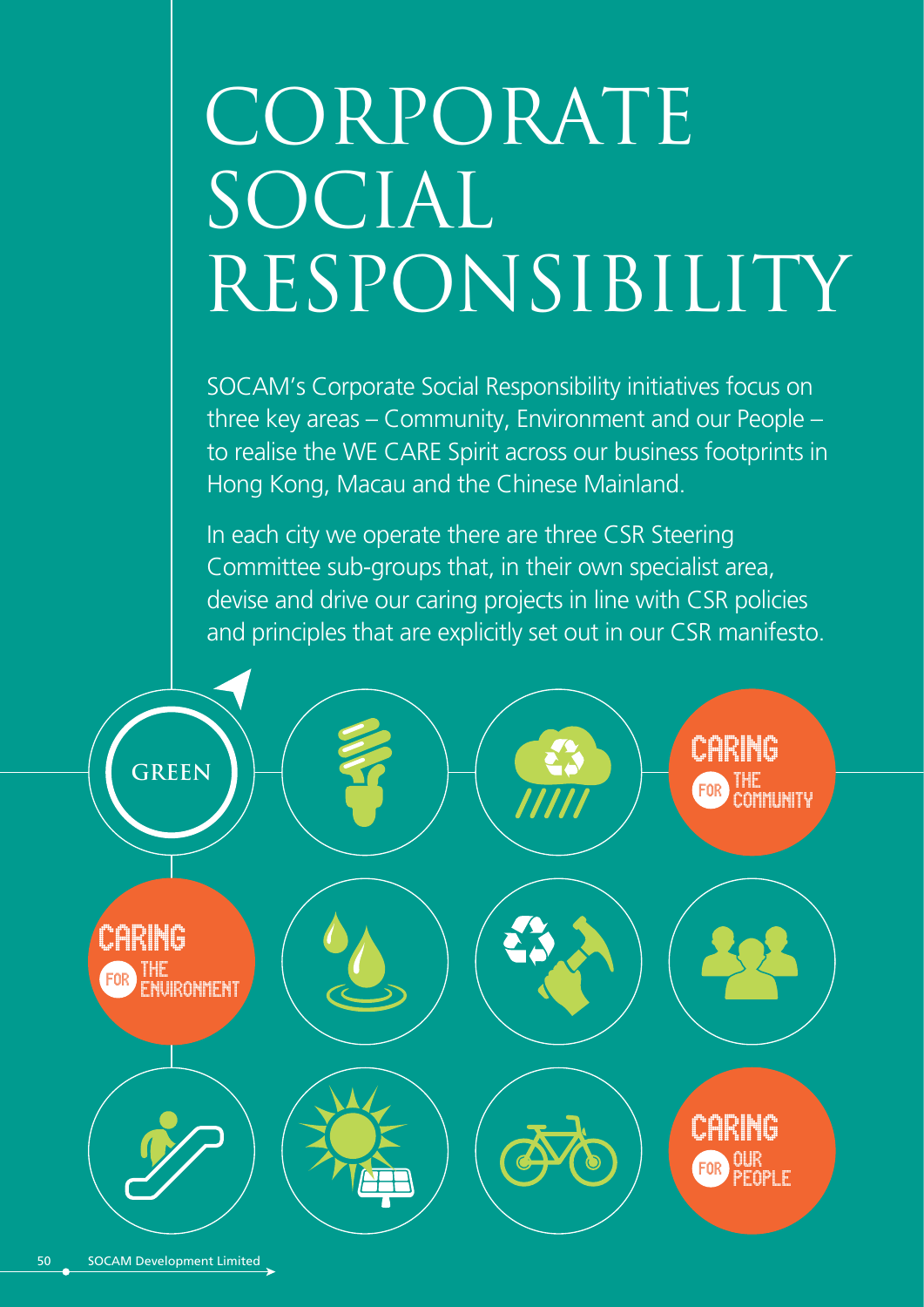# CORPORATE SOCIAL RESPONSIBILITY

SOCAM's Corporate Social Responsibility initiatives focus on three key areas – Community, Environment and our People – to realise the WE CARE Spirit across our business footprints in Hong Kong, Macau and the Chinese Mainland.

In each city we operate there are three CSR Steering Committee sub-groups that, in their own specialist area, devise and drive our caring projects in line with CSR policies and principles that are explicitly set out in our CSR manifesto.

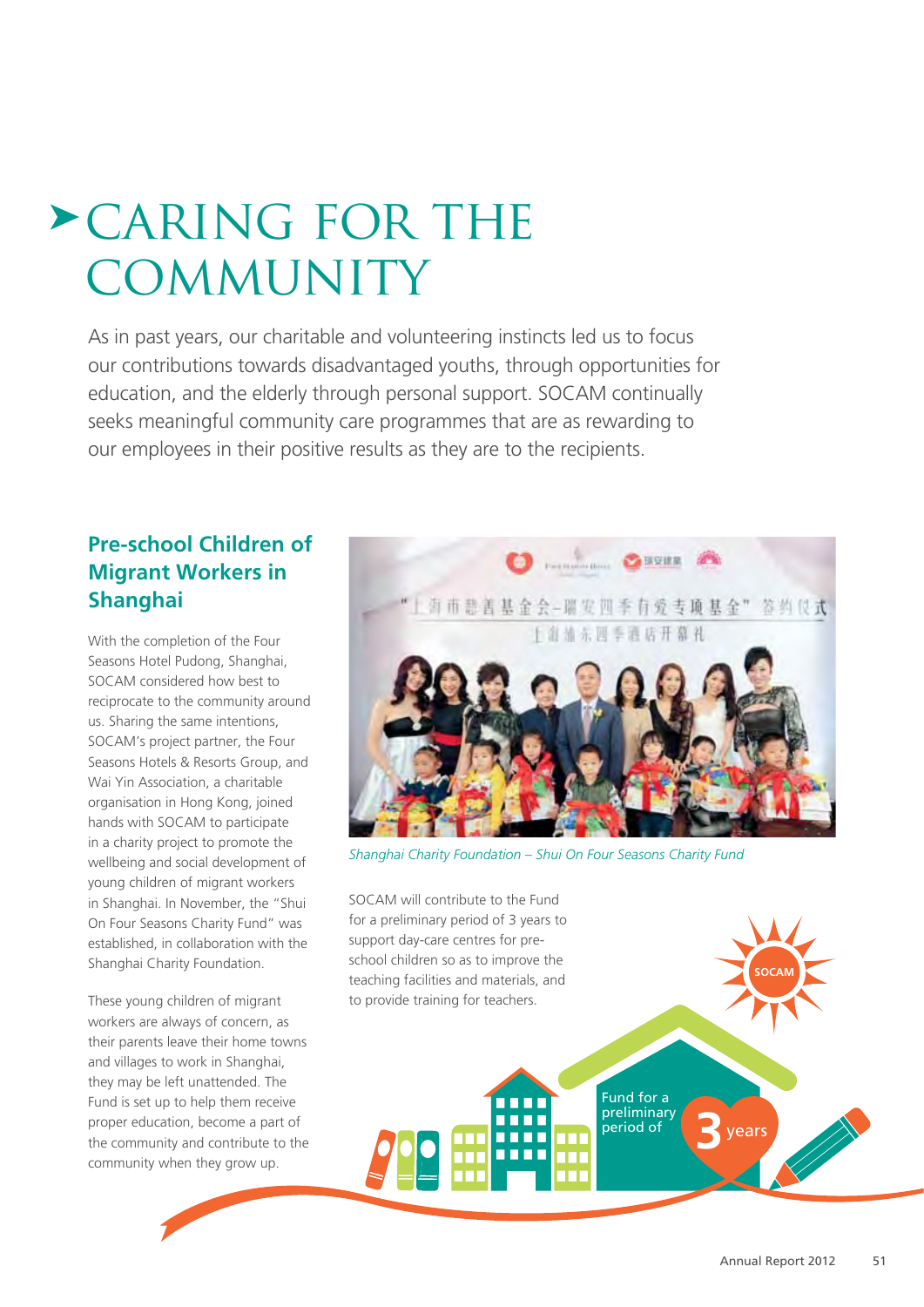# caring for the **COMMUNITY**

As in past years, our charitable and volunteering instincts led us to focus our contributions towards disadvantaged youths, through opportunities for education, and the elderly through personal support. SOCAM continually seeks meaningful community care programmes that are as rewarding to our employees in their positive results as they are to the recipients.

# **Pre-school Children of Migrant Workers in Shanghai**

With the completion of the Four Seasons Hotel Pudong, Shanghai, SOCAM considered how best to reciprocate to the community around us. Sharing the same intentions, SOCAM's project partner, the Four Seasons Hotels & Resorts Group, and Wai Yin Association, a charitable organisation in Hong Kong, joined hands with SOCAM to participate in a charity project to promote the wellbeing and social development of young children of migrant workers in Shanghai. In November, the "Shui On Four Seasons Charity Fund" was established, in collaboration with the Shanghai Charity Foundation.

These young children of migrant workers are always of concern, as their parents leave their home towns and villages to work in Shanghai, they may be left unattended. The Fund is set up to help them receive proper education, become a part of the community and contribute to the community when they grow up.



Fund for a preliminary

т m

period of **3**years

*Shanghai Charity Foundation – Shui On Four Seasons Charity Fund*

SOCAM will contribute to the Fund for a preliminary period of 3 years to support day-care centres for preschool children so as to improve the teaching facilities and materials, and to provide training for teachers.

**SOCAM**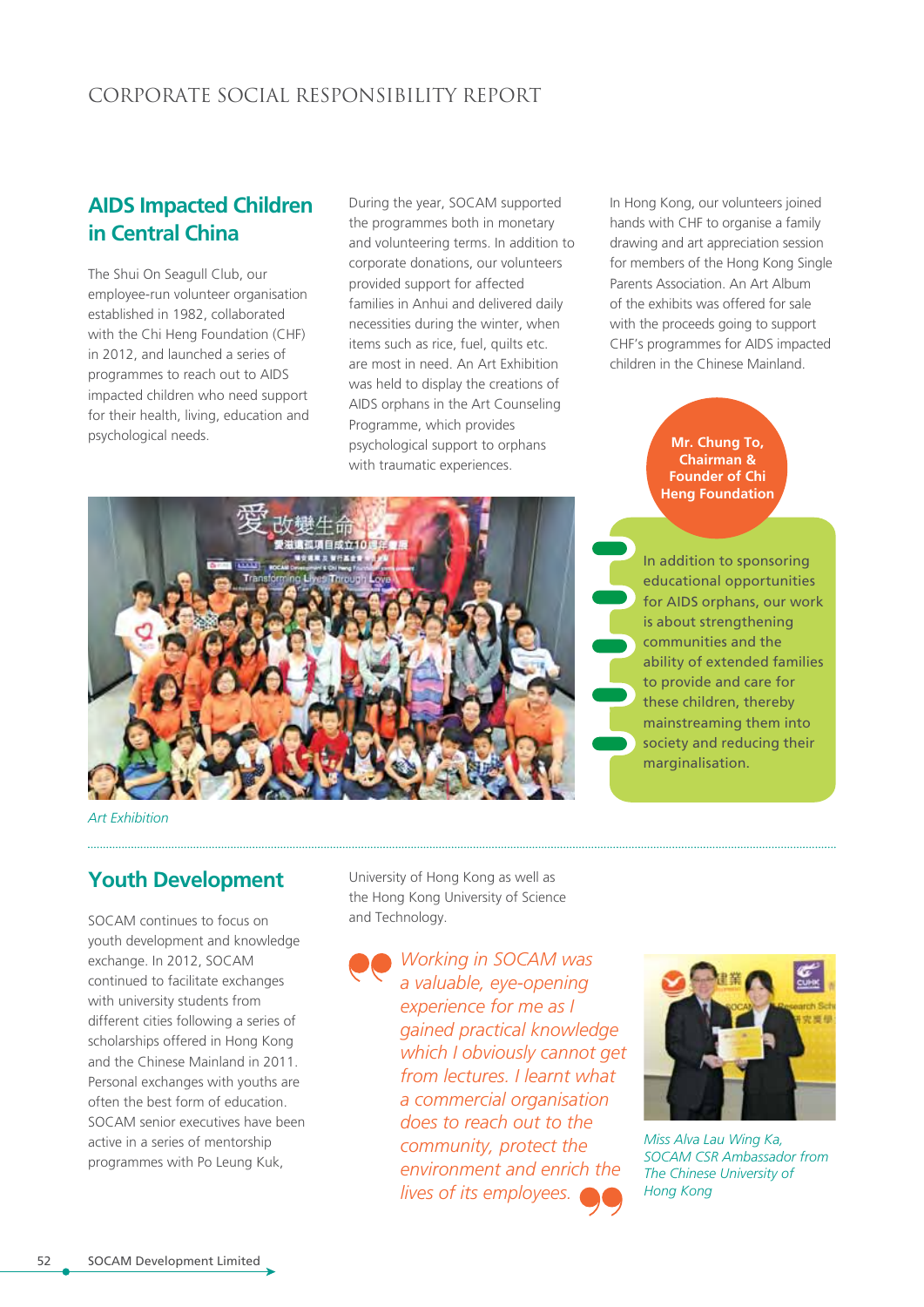#### CORPORATE SOCIAL RESPONSIBILITY REPORT

# **AIDS Impacted Children in Central China**

The Shui On Seagull Club, our employee-run volunteer organisation established in 1982, collaborated with the Chi Heng Foundation (CHF) in 2012, and launched a series of programmes to reach out to AIDS impacted children who need support for their health, living, education and psychological needs.

During the year, SOCAM supported the programmes both in monetary and volunteering terms. In addition to corporate donations, our volunteers provided support for affected families in Anhui and delivered daily necessities during the winter, when items such as rice, fuel, quilts etc. are most in need. An Art Exhibition was held to display the creations of AIDS orphans in the Art Counseling Programme, which provides psychological support to orphans with traumatic experiences.

In Hong Kong, our volunteers joined hands with CHF to organise a family drawing and art appreciation session for members of the Hong Kong Single Parents Association. An Art Album of the exhibits was offered for sale with the proceeds going to support CHF's programmes for AIDS impacted children in the Chinese Mainland.

> **Mr. Chung To, Chairman & Founder of Chi Heng Foundation**



In addition to sponsoring educational opportunities for AIDS orphans, our work is about strengthening communities and the ability of extended families to provide and care for these children, thereby mainstreaming them into society and reducing their marginalisation.

*Art Exhibition* 

# **Youth Development**

SOCAM continues to focus on youth development and knowledge exchange. In 2012, SOCAM continued to facilitate exchanges with university students from different cities following a series of scholarships offered in Hong Kong and the Chinese Mainland in 2011. Personal exchanges with youths are often the best form of education. SOCAM senior executives have been active in a series of mentorship programmes with Po Leung Kuk,

University of Hong Kong as well as the Hong Kong University of Science and Technology.

> *Working in SOCAM was a valuable, eye-opening experience for me as I gained practical knowledge which I obviously cannot get from lectures. I learnt what a commercial organisation does to reach out to the community, protect the environment and enrich the lives of its employees.*



*Miss Alva Lau Wing Ka, SOCAM CSR Ambassador from The Chinese University of Hong Kong*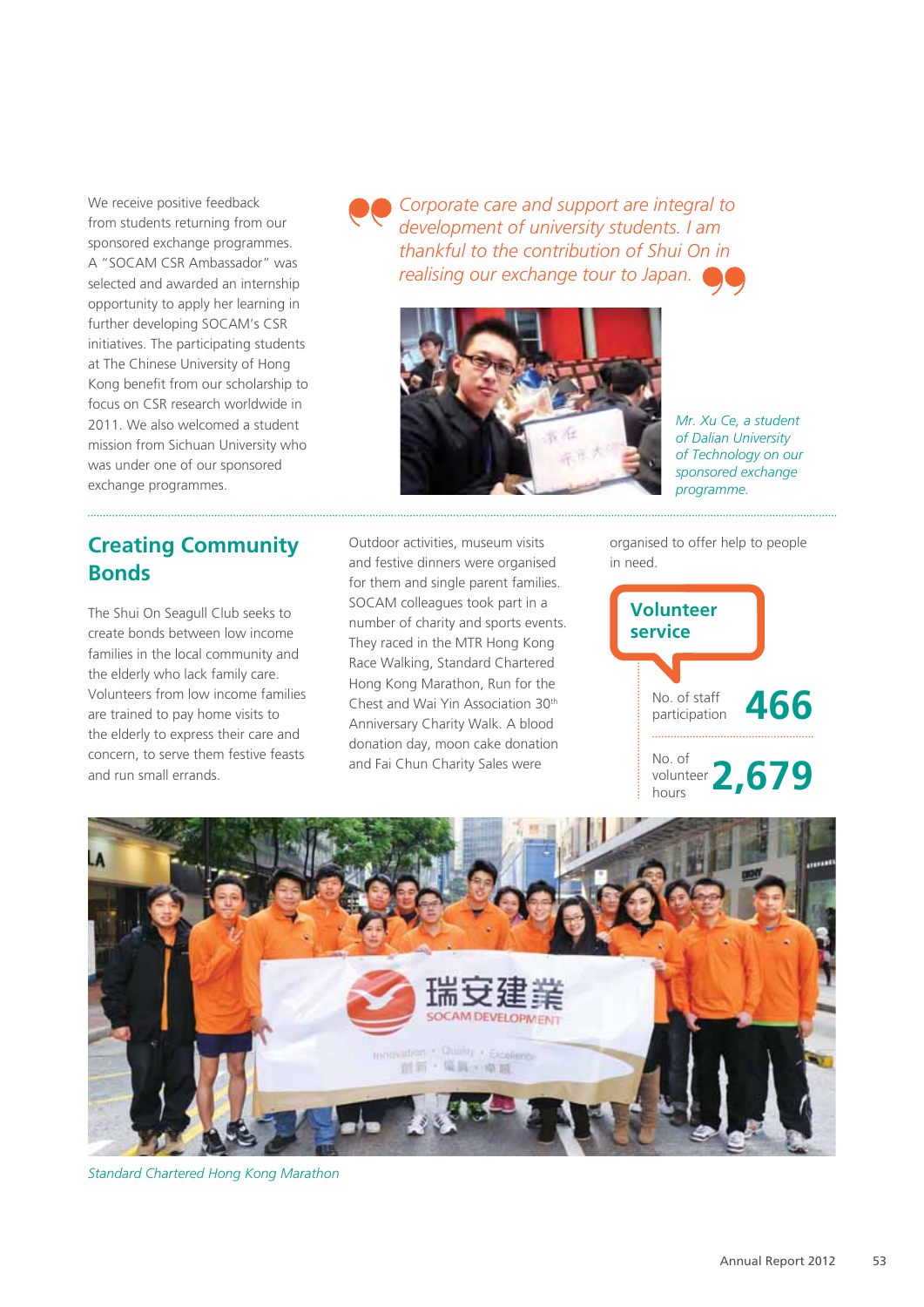We receive positive feedback from students returning from our sponsored exchange programmes. A "SOCAM CSR Ambassador" was selected and awarded an internship opportunity to apply her learning in further developing SOCAM's CSR initiatives. The participating students at The Chinese University of Hong Kong benefit from our scholarship to focus on CSR research worldwide in 2011. We also welcomed a student mission from Sichuan University who was under one of our sponsored exchange programmes.

*Corporate care and support are integral to development of university students. I am thankful to the contribution of Shui On in realising our exchange tour to Japan.*



*Mr. Xu Ce, a student of Dalian University of Technology on our sponsored exchange programme.*

# **Creating Community Bonds**

The Shui On Seagull Club seeks to create bonds between low income families in the local community and the elderly who lack family care. Volunteers from low income families are trained to pay home visits to the elderly to express their care and concern, to serve them festive feasts and run small errands.

Outdoor activities, museum visits and festive dinners were organised for them and single parent families. SOCAM colleagues took part in a number of charity and sports events. They raced in the MTR Hong Kong Race Walking, Standard Chartered Hong Kong Marathon, Run for the Chest and Wai Yin Association 30th Anniversary Charity Walk. A blood donation day, moon cake donation and Fai Chun Charity Sales were

organised to offer help to people in need.





*Standard Chartered Hong Kong Marathon*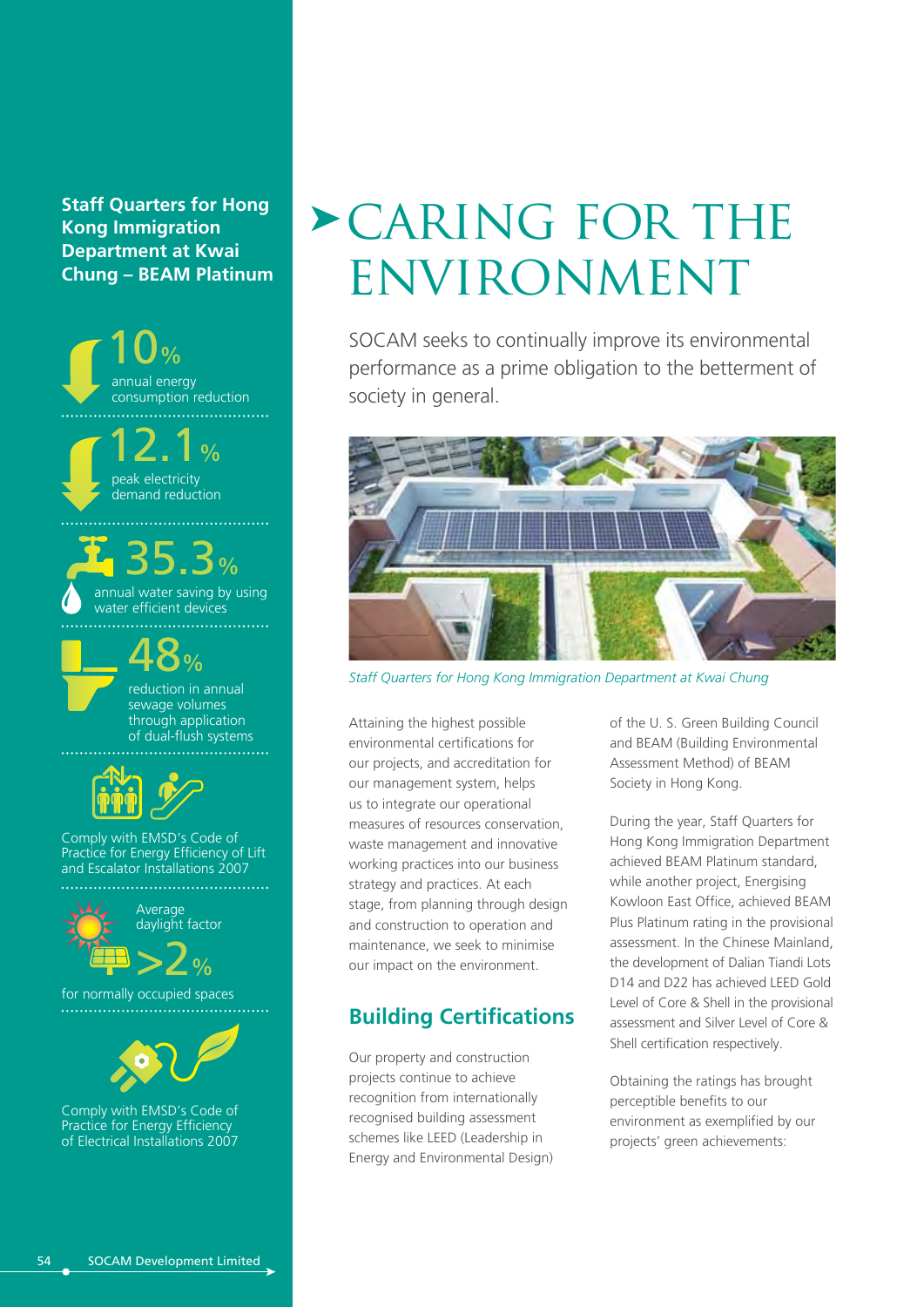**Staff Quarters for Hong Kong Immigration Department at Kwai Chung – BEAM Platinum**



# caring for the **ENVIRONMENT**

SOCAM seeks to continually improve its environmental performance as a prime obligation to the betterment of society in general.



*Staff Quarters for Hong Kong Immigration Department at Kwai Chung*

Attaining the highest possible environmental certifications for our projects, and accreditation for our management system, helps us to integrate our operational measures of resources conservation, waste management and innovative working practices into our business strategy and practices. At each stage, from planning through design and construction to operation and maintenance, we seek to minimise our impact on the environment.

# **Building Certifications**

Our property and construction projects continue to achieve recognition from internationally recognised building assessment schemes like LEED (Leadership in Energy and Environmental Design) of the U. S. Green Building Council and BEAM (Building Environmental Assessment Method) of BEAM Society in Hong Kong.

During the year, Staff Quarters for Hong Kong Immigration Department achieved BEAM Platinum standard, while another project, Energising Kowloon East Office, achieved BEAM Plus Platinum rating in the provisional assessment. In the Chinese Mainland, the development of Dalian Tiandi Lots D14 and D22 has achieved LEED Gold Level of Core & Shell in the provisional assessment and Silver Level of Core & Shell certification respectively.

Obtaining the ratings has brought perceptible benefits to our environment as exemplified by our projects' green achievements: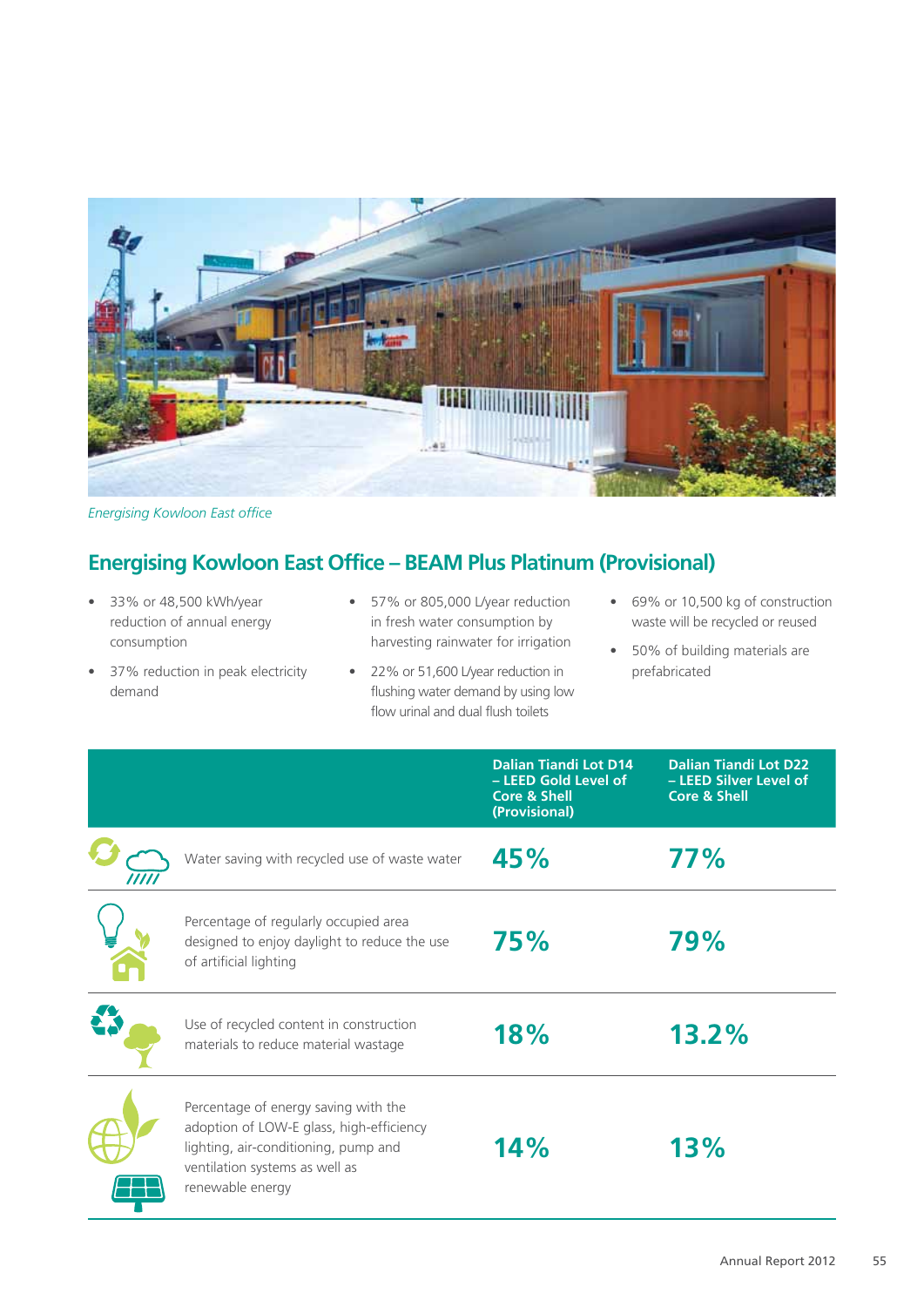

*Energising Kowloon East office*

# **Energising Kowloon East Office – BEAM Plus Platinum (Provisional)**

- 33% or 48,500 kWh/year reduction of annual energy consumption
- 57% or 805,000 L/year reduction in fresh water consumption by harvesting rainwater for irrigation
- 37% reduction in peak electricity demand
- 22% or 51,600 L/year reduction in flushing water demand by using low flow urinal and dual flush toilets
- 69% or 10,500 kg of construction waste will be recycled or reused
- 50% of building materials are prefabricated

|                                                                                                                                                                                | <b>Dalian Tiandi Lot D14</b><br>- LEED Gold Level of<br><b>Core &amp; Shell</b><br>(Provisional) | <b>Dalian Tiandi Lot D22</b><br>- LEED Silver Level of<br><b>Core &amp; Shell</b> |
|--------------------------------------------------------------------------------------------------------------------------------------------------------------------------------|--------------------------------------------------------------------------------------------------|-----------------------------------------------------------------------------------|
| Water saving with recycled use of waste water                                                                                                                                  | 45%                                                                                              | 77%                                                                               |
| Percentage of regularly occupied area<br>designed to enjoy daylight to reduce the use<br>of artificial lighting                                                                | 75%                                                                                              | 79%                                                                               |
| Use of recycled content in construction<br>materials to reduce material wastage                                                                                                | 18%                                                                                              | 13.2%                                                                             |
| Percentage of energy saving with the<br>adoption of LOW-E glass, high-efficiency<br>lighting, air-conditioning, pump and<br>ventilation systems as well as<br>renewable energy | 14%                                                                                              | 13%                                                                               |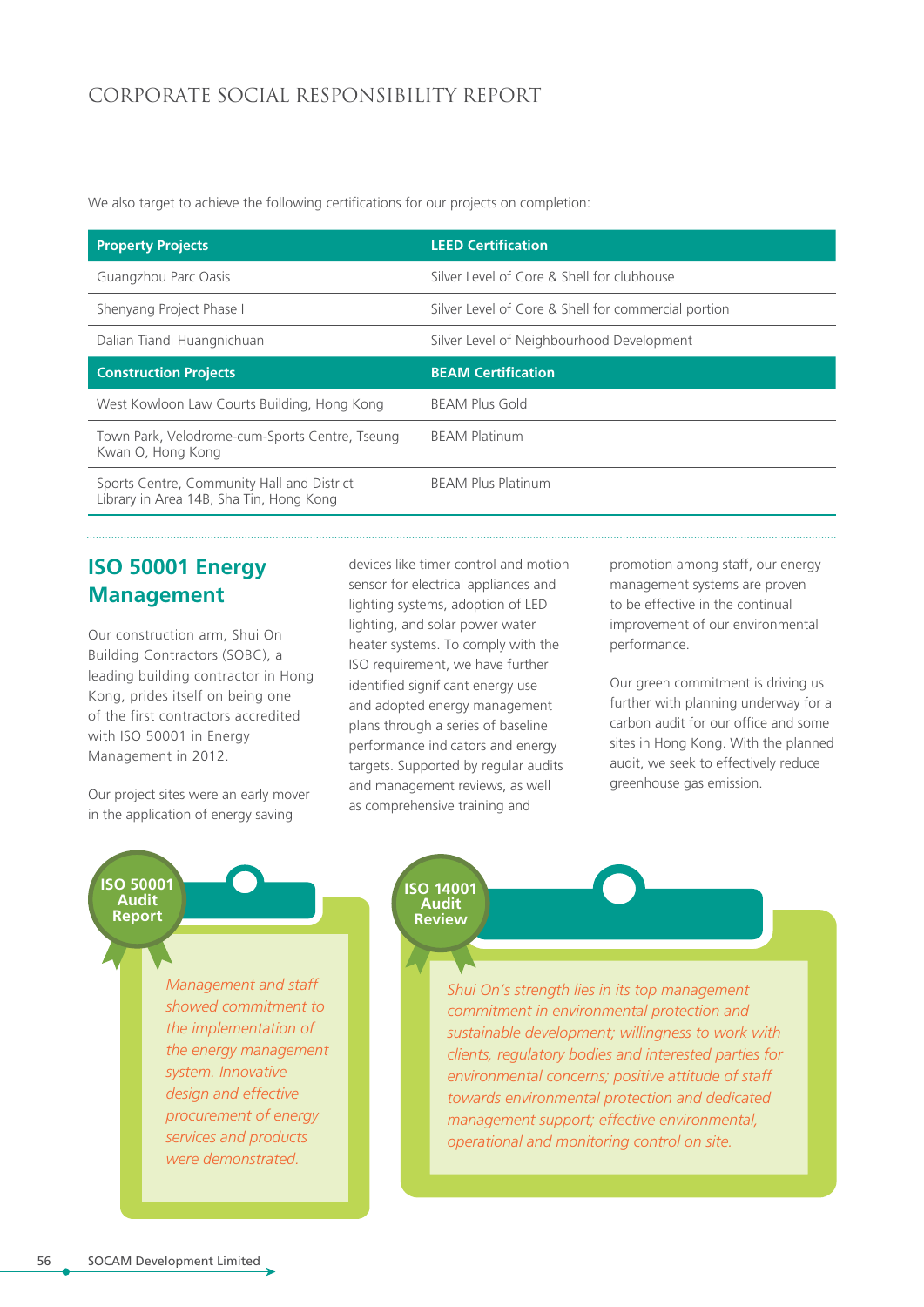#### CORPORATE SOCIAL RESPONSIBILITY REPORT

We also target to achieve the following certifications for our projects on completion:

| <b>Property Projects</b>                                                              | <b>LEED Certification</b>                           |
|---------------------------------------------------------------------------------------|-----------------------------------------------------|
| Guangzhou Parc Oasis                                                                  | Silver Level of Core & Shell for clubhouse          |
| Shenyang Project Phase I                                                              | Silver Level of Core & Shell for commercial portion |
| Dalian Tiandi Huangnichuan                                                            | Silver Level of Neighbourhood Development           |
| <b>Construction Projects</b>                                                          | <b>BEAM Certification</b>                           |
| West Kowloon Law Courts Building, Hong Kong                                           | <b>BEAM Plus Gold</b>                               |
| Town Park, Velodrome-cum-Sports Centre, Tseung<br>Kwan O, Hong Kong                   | <b>BEAM Platinum</b>                                |
| Sports Centre, Community Hall and District<br>Library in Area 14B, Sha Tin, Hong Kong | <b>BEAM Plus Platinum</b>                           |

### **ISO 50001 Energy Management**

Our construction arm, Shui On Building Contractors (SOBC), a leading building contractor in Hong Kong, prides itself on being one of the first contractors accredited with ISO 50001 in Energy Management in 2012.

Our project sites were an early mover in the application of energy saving

devices like timer control and motion sensor for electrical appliances and lighting systems, adoption of LED lighting, and solar power water heater systems. To comply with the ISO requirement, we have further identified significant energy use and adopted energy management plans through a series of baseline performance indicators and energy targets. Supported by regular audits and management reviews, as well as comprehensive training and

promotion among staff, our energy management systems are proven to be effective in the continual improvement of our environmental performance.

Our green commitment is driving us further with planning underway for a carbon audit for our office and some sites in Hong Kong. With the planned audit, we seek to effectively reduce greenhouse gas emission.

#### **ISO 50001 Audit Report**

*Management and staff showed commitment to the implementation of the energy management system. Innovative design and effective procurement of energy services and products were demonstrated.*

**ISO 14001 Audit Review**

> *Shui On's strength lies in its top management commitment in environmental protection and sustainable development; willingness to work with clients, regulatory bodies and interested parties for environmental concerns; positive attitude of staff towards environmental protection and dedicated management support; effective environmental, operational and monitoring control on site.*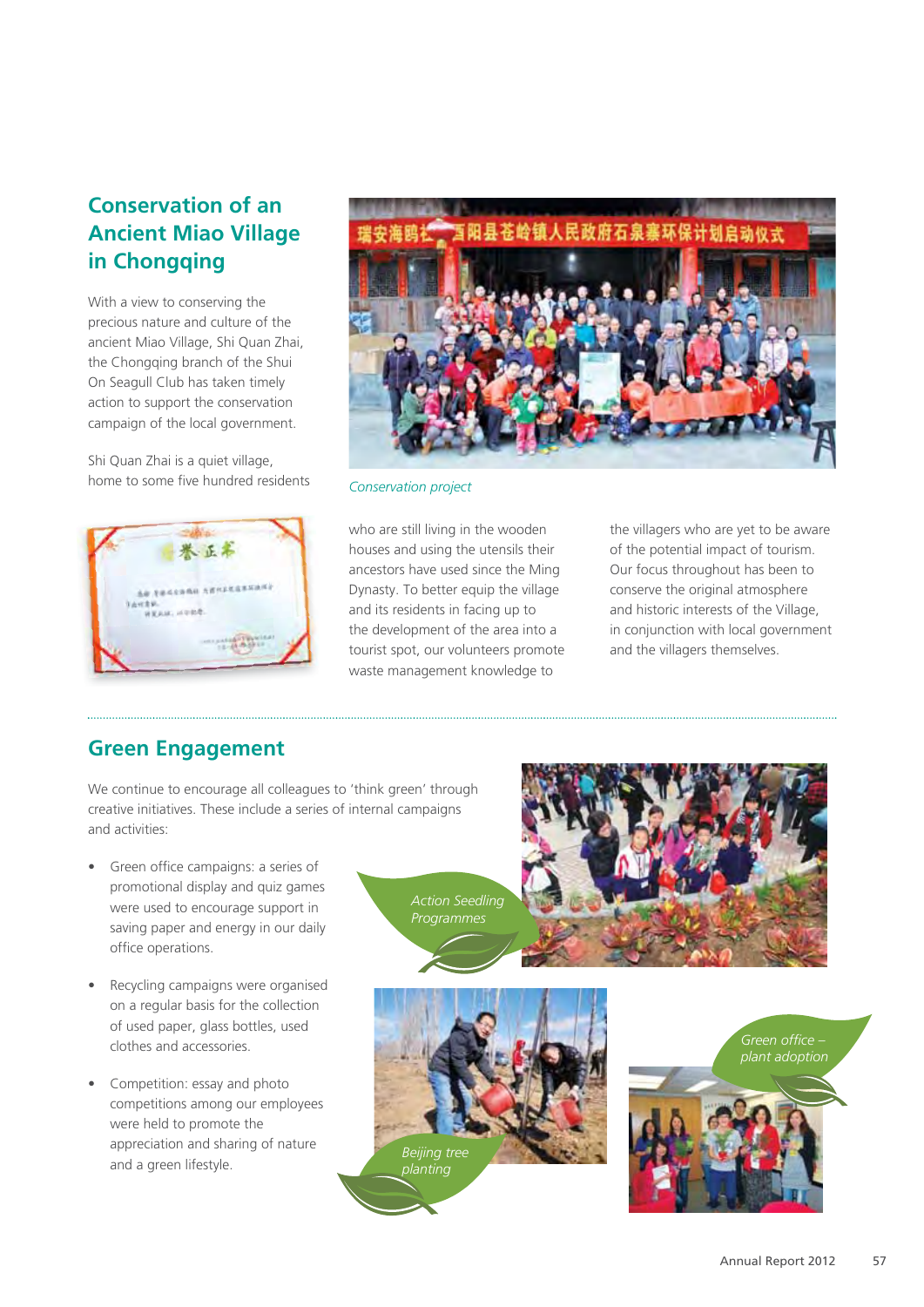# **Conservation of an Ancient Miao Village in Chongqing**

With a view to conserving the precious nature and culture of the ancient Miao Village, Shi Quan Zhai, the Chongqing branch of the Shui On Seagull Club has taken timely action to support the conservation campaign of the local government.

Shi Quan Zhai is a quiet village, home to some five hundred residents





*Conservation project*

who are still living in the wooden houses and using the utensils their ancestors have used since the Ming Dynasty. To better equip the village and its residents in facing up to the development of the area into a tourist spot, our volunteers promote waste management knowledge to

the villagers who are yet to be aware of the potential impact of tourism. Our focus throughout has been to conserve the original atmosphere and historic interests of the Village, in conjunction with local government and the villagers themselves.

### **Green Engagement**

We continue to encourage all colleagues to 'think green' through creative initiatives. These include a series of internal campaigns and activities:

- Green office campaigns: a series of promotional display and quiz games were used to encourage support in saving paper and energy in our daily office operations.
- Recycling campaigns were organised on a regular basis for the collection of used paper, glass bottles, used clothes and accessories.
- Competition: essay and photo competitions among our employees were held to promote the appreciation and sharing of nature and a green lifestyle.

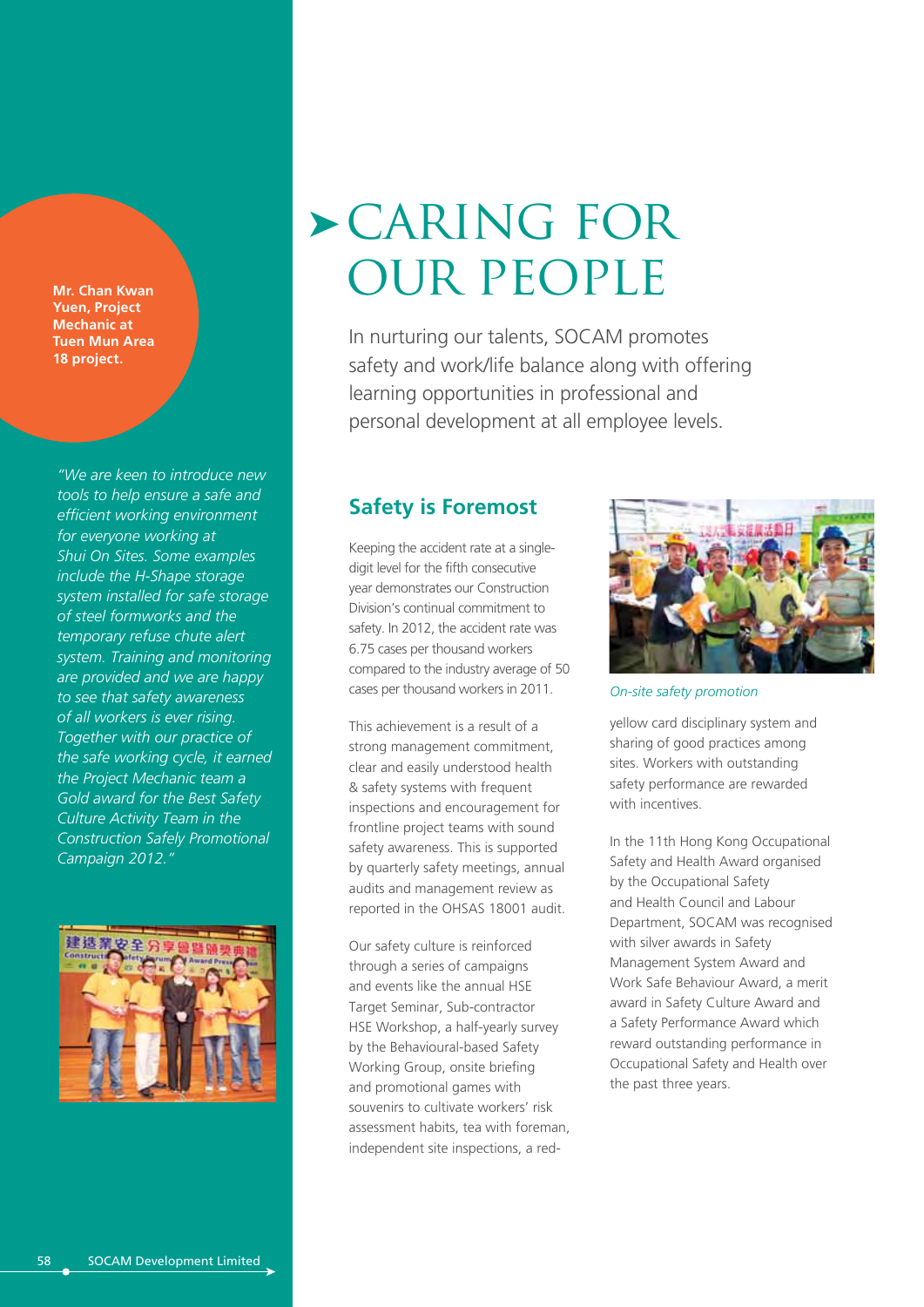**Mr. Chan Kwan Yuen, Project Mechanic at Tuen Mun Area 18 project.**

*"We are keen to introduce new tools to help ensure a safe and efficient working environment for everyone working at Shui On Sites. Some examples include the H-Shape storage system installed for safe storage of steel formworks and the temporary refuse chute alert system. Training and monitoring are provided and we are happy to see that safety awareness of all workers is ever rising. Together with our practice of the safe working cycle, it earned the Project Mechanic team a Gold award for the Best Safety Culture Activity Team in the Construction Safely Promotional Campaign 2012."*



# caring for our people

In nurturing our talents, SOCAM promotes safety and work/life balance along with offering learning opportunities in professional and personal development at all employee levels.

#### **Safety is Foremost**

Keeping the accident rate at a singledigit level for the fifth consecutive year demonstrates our Construction Division's continual commitment to safety. In 2012, the accident rate was 6.75 cases per thousand workers compared to the industry average of 50 cases per thousand workers in 2011.

This achievement is a result of a strong management commitment, clear and easily understood health & safety systems with frequent inspections and encouragement for frontline project teams with sound safety awareness. This is supported by quarterly safety meetings, annual audits and management review as reported in the OHSAS 18001 audit.

Our safety culture is reinforced through a series of campaigns and events like the annual HSE Target Seminar, Sub-contractor HSE Workshop, a half-yearly survey by the Behavioural-based Safety Working Group, onsite briefing and promotional games with souvenirs to cultivate workers' risk assessment habits, tea with foreman, independent site inspections, a red-



*On-site safety promotion*

yellow card disciplinary system and sharing of good practices among sites. Workers with outstanding safety performance are rewarded with incentives.

In the 11th Hong Kong Occupational Safety and Health Award organised by the Occupational Safety and Health Council and Labour Department, SOCAM was recognised with silver awards in Safety Management System Award and Work Safe Behaviour Award, a merit award in Safety Culture Award and a Safety Performance Award which reward outstanding performance in Occupational Safety and Health over the past three years.